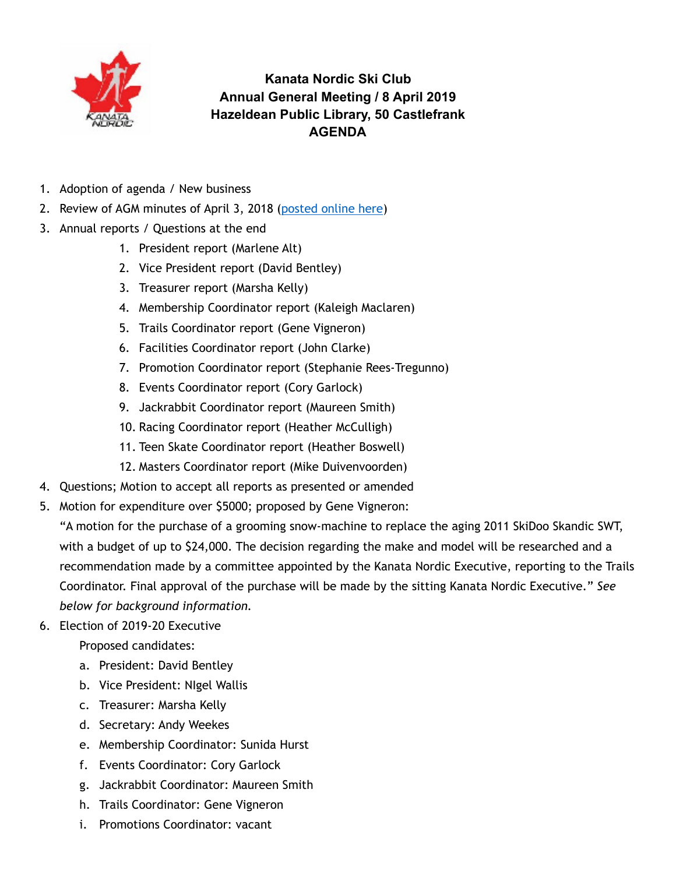

**Kanata Nordic Ski Club Annual General Meeting / 8 April 2019 Hazeldean Public Library, 50 Castlefrank AGENDA** 

- 1. Adoption of agenda / New business
- 2. Review of AGM minutes of April 3, 2018 ([posted online here](http://www.kanatanordic.ca/wp-content/uploads/2017-18-AGM-minutes-draft.pdf))
- 3. Annual reports / Questions at the end
	- 1. President report (Marlene Alt)
	- 2. Vice President report (David Bentley)
	- 3. Treasurer report (Marsha Kelly)
	- 4. Membership Coordinator report (Kaleigh Maclaren)
	- 5. Trails Coordinator report (Gene Vigneron)
	- 6. Facilities Coordinator report (John Clarke)
	- 7. Promotion Coordinator report (Stephanie Rees-Tregunno)
	- 8. Events Coordinator report (Cory Garlock)
	- 9. Jackrabbit Coordinator report (Maureen Smith)
	- 10. Racing Coordinator report (Heather McCulligh)
	- 11. Teen Skate Coordinator report (Heather Boswell)
	- 12. Masters Coordinator report (Mike Duivenvoorden)
- 4. Questions; Motion to accept all reports as presented or amended
- 5. Motion for expenditure over \$5000; proposed by Gene Vigneron:

"A motion for the purchase of a grooming snow-machine to replace the aging 2011 SkiDoo Skandic SWT, with a budget of up to \$24,000. The decision regarding the make and model will be researched and a recommendation made by a committee appointed by the Kanata Nordic Executive, reporting to the Trails Coordinator. Final approval of the purchase will be made by the sitting Kanata Nordic Executive." *See below for background information.*

6. Election of 2019-20 Executive

Proposed candidates:

- a. President: David Bentley
- b. Vice President: NIgel Wallis
- c. Treasurer: Marsha Kelly
- d. Secretary: Andy Weekes
- e. Membership Coordinator: Sunida Hurst
- f. Events Coordinator: Cory Garlock
- g. Jackrabbit Coordinator: Maureen Smith
- h. Trails Coordinator: Gene Vigneron
- i. Promotions Coordinator: vacant